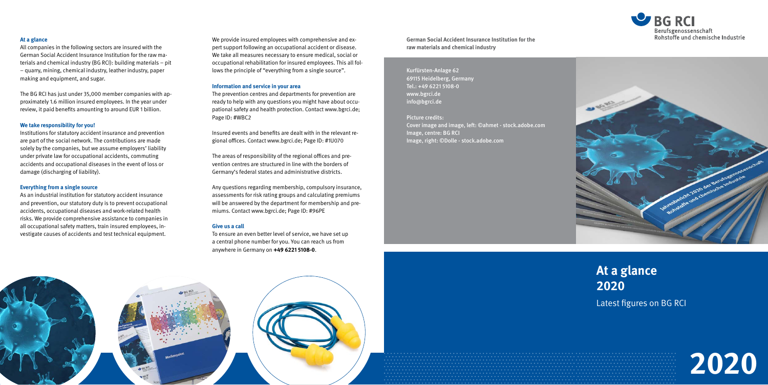We provide insured employees with comprehensive and expert support following an occupational accident or disease. We take all measures necessary to ensure medical, social or occupational rehabilitation for insured employees. This all follows the principle of "everything from a single source".

#### **Information and service in your area**

The prevention centres and departments for prevention are ready to help with any questions you might have about occupational safety and health protection. Contact www.bgrci.de; Page ID: #WBC2

Insured events and benefits are dealt with in the relevant regional offices. Contact www.bgrci.de; Page ID: #1U070

The areas of responsibility of the regional offices and prevention centres are structured in line with the borders of Germany's federal states and administrative districts.

Any questions regarding membership, compulsory insurance, assessments for risk rating groups and calculating premiums will be answered by the department for membership and premiums. Contact www.bgrci.de; Page ID: #96PE

#### **Give us a call**

To ensure an even better level of service, we have set up a central phone number for you. You can reach us from anywhere in Germany on **+49 6221 5108-0**.

# **At a glance 2020**

Latest figures on BG RCI

**German Social Accident Insurance Institution for the raw materials and chemical industry**

## Kurfürsten-Anlage 62 69115 Heidelberg, Germany Tel.: +49 6221 5108-0 www.bgrci.de info@bgrci.de

Picture credits: Cover image and image, left: ©ahmet - stock.adobe.com Image, centre: BG RCI Image, right: ©Dolle - stock.adobe.com







## **At a glance**

All companies in the following sectors are insured with the German Social Accident Insurance Institution for the raw materials and chemical industry (BG RCI): building materials – pit – quarry, mining, chemical industry, leather industry, paper making and equipment, and sugar.

The BG RCI has just under 35,000 member companies with approximately 1.6 million insured employees. In the year under review, it paid benefits amounting to around EUR 1 billion.

### **We take responsibility for you!**

Institutions for statutory accident insurance and prevention are part of the social network. The contributions are made solely by the companies, but we assume employers' liability under private law for occupational accidents, commuting accidents and occupational diseases in the event of loss or damage (discharging of liability).

#### **Everything from a single source**

As an industrial institution for statutory accident insurance and prevention, our statutory duty is to prevent occupational accidents, occupational diseases and work-related health risks. We provide comprehensive assistance to companies in all occupational safety matters, train insured employees, investigate causes of accidents and test technical equipment.